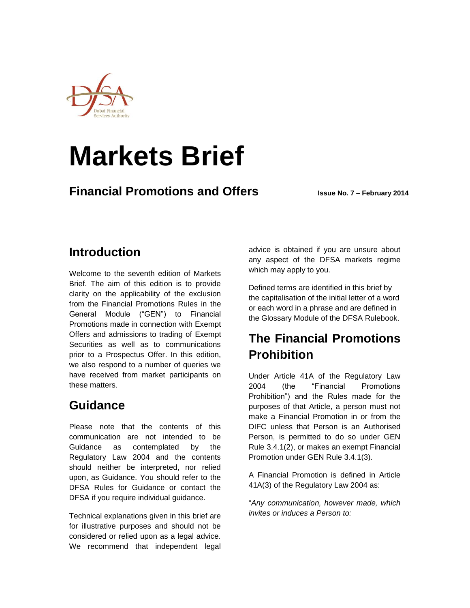

# **Markets Brief**

**Financial Promotions and Offers Issue No. 7 – February 2014**

### **Introduction**

Welcome to the seventh edition of Markets Brief. The aim of this edition is to provide clarity on the applicability of the exclusion from the Financial Promotions Rules in the General Module ("GEN") to Financial Promotions made in connection with Exempt Offers and admissions to trading of Exempt Securities as well as to communications prior to a Prospectus Offer. In this edition, we also respond to a number of queries we have received from market participants on these matters.

## **Guidance**

Please note that the contents of this communication are not intended to be Guidance as contemplated by the Regulatory Law 2004 and the contents should neither be interpreted, nor relied upon, as Guidance. You should refer to the DFSA Rules for Guidance or contact the DFSA if you require individual guidance.

Technical explanations given in this brief are for illustrative purposes and should not be considered or relied upon as a legal advice. We recommend that independent legal advice is obtained if you are unsure about any aspect of the DFSA markets regime which may apply to you.

Defined terms are identified in this brief by the capitalisation of the initial letter of a word or each word in a phrase and are defined in the Glossary Module of the DFSA Rulebook.

## **The Financial Promotions Prohibition**

Under Article 41A of the Regulatory Law 2004 (the "Financial Promotions Prohibition") and the Rules made for the purposes of that Article, a person must not make a Financial Promotion in or from the DIFC unless that Person is an Authorised Person, is permitted to do so under GEN Rule 3.4.1(2), or makes an exempt Financial Promotion under GEN Rule 3.4.1(3).

A Financial Promotion is defined in Article 41A(3) of the Regulatory Law 2004 as:

"*Any communication, however made, which invites or induces a Person to:*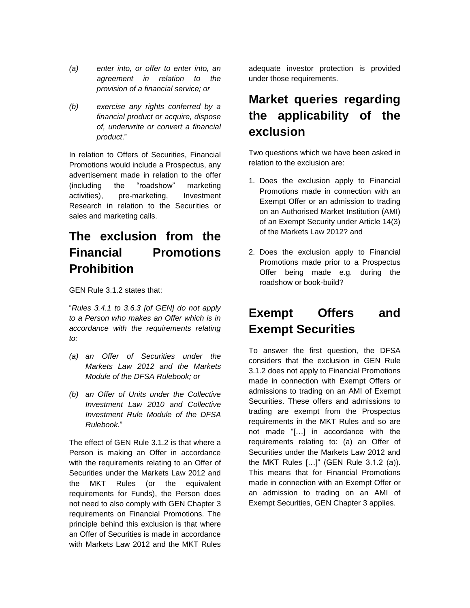- *(a) enter into, or offer to enter into, an agreement in relation to the provision of a financial service; or*
- *(b) exercise any rights conferred by a financial product or acquire, dispose of, underwrite or convert a financial product*."

In relation to Offers of Securities, Financial Promotions would include a Prospectus, any advertisement made in relation to the offer (including the "roadshow" marketing activities), pre-marketing, Investment Research in relation to the Securities or sales and marketing calls.

## **The exclusion from the Financial Promotions Prohibition**

GEN Rule 3.1.2 states that:

"*Rules 3.4.1 to 3.6.3 [of GEN] do not apply to a Person who makes an Offer which is in accordance with the requirements relating to:*

- *(a) an Offer of Securities under the Markets Law 2012 and the Markets Module of the DFSA Rulebook; or*
- *(b) an Offer of Units under the Collective Investment Law 2010 and Collective Investment Rule Module of the DFSA Rulebook.*"

The effect of GEN Rule 3.1.2 is that where a Person is making an Offer in accordance with the requirements relating to an Offer of Securities under the Markets Law 2012 and the MKT Rules (or the equivalent requirements for Funds), the Person does not need to also comply with GEN Chapter 3 requirements on Financial Promotions. The principle behind this exclusion is that where an Offer of Securities is made in accordance with Markets Law 2012 and the MKT Rules

adequate investor protection is provided under those requirements.

## **Market queries regarding the applicability of the exclusion**

Two questions which we have been asked in relation to the exclusion are:

- 1. Does the exclusion apply to Financial Promotions made in connection with an Exempt Offer or an admission to trading on an Authorised Market Institution (AMI) of an Exempt Security under Article 14(3) of the Markets Law 2012? and
- 2. Does the exclusion apply to Financial Promotions made prior to a Prospectus Offer being made e.g. during the roadshow or book-build?

#### **Exempt Offers and Exempt Securities**

To answer the first question, the DFSA considers that the exclusion in GEN Rule 3.1.2 does not apply to Financial Promotions made in connection with Exempt Offers or admissions to trading on an AMI of Exempt Securities. These offers and admissions to trading are exempt from the Prospectus requirements in the MKT Rules and so are not made "[…] in accordance with the requirements relating to: (a) an Offer of Securities under the Markets Law 2012 and the MKT Rules […]" (GEN Rule 3.1.2 (a)). This means that for Financial Promotions made in connection with an Exempt Offer or an admission to trading on an AMI of Exempt Securities, GEN Chapter 3 applies.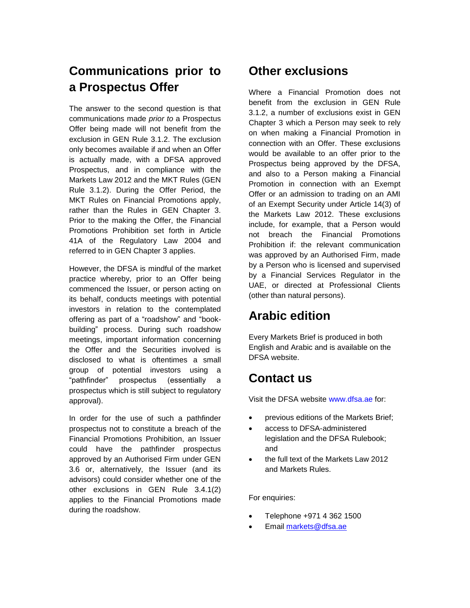## **Communications prior to a Prospectus Offer**

The answer to the second question is that communications made *prior to* a Prospectus Offer being made will not benefit from the exclusion in GEN Rule 3.1.2. The exclusion only becomes available if and when an Offer is actually made, with a DFSA approved Prospectus, and in compliance with the Markets Law 2012 and the MKT Rules (GEN Rule 3.1.2). During the Offer Period, the MKT Rules on Financial Promotions apply, rather than the Rules in GEN Chapter 3. Prior to the making the Offer, the Financial Promotions Prohibition set forth in Article 41A of the Regulatory Law 2004 and referred to in GEN Chapter 3 applies.

However, the DFSA is mindful of the market practice whereby, prior to an Offer being commenced the Issuer, or person acting on its behalf, conducts meetings with potential investors in relation to the contemplated offering as part of a "roadshow" and "bookbuilding" process. During such roadshow meetings, important information concerning the Offer and the Securities involved is disclosed to what is oftentimes a small group of potential investors using a "pathfinder" prospectus (essentially a prospectus which is still subject to regulatory approval).

In order for the use of such a pathfinder prospectus not to constitute a breach of the Financial Promotions Prohibition, an Issuer could have the pathfinder prospectus approved by an Authorised Firm under GEN 3.6 or, alternatively, the Issuer (and its advisors) could consider whether one of the other exclusions in GEN Rule 3.4.1(2) applies to the Financial Promotions made during the roadshow.

#### **Other exclusions**

Where a Financial Promotion does not benefit from the exclusion in GEN Rule 3.1.2, a number of exclusions exist in GEN Chapter 3 which a Person may seek to rely on when making a Financial Promotion in connection with an Offer. These exclusions would be available to an offer prior to the Prospectus being approved by the DFSA, and also to a Person making a Financial Promotion in connection with an Exempt Offer or an admission to trading on an AMI of an Exempt Security under Article 14(3) of the Markets Law 2012. These exclusions include, for example, that a Person would not breach the Financial Promotions Prohibition if: the relevant communication was approved by an Authorised Firm, made by a Person who is licensed and supervised by a Financial Services Regulator in the UAE, or directed at Professional Clients (other than natural persons).

#### **Arabic edition**

Every Markets Brief is produced in both English and Arabic and is available on the DFSA website.

#### **Contact us**

Visit the DFSA website www.dfsa.ae for:

- previous editions of the Markets Brief;
- access to DFSA-administered legislation and the DFSA Rulebook; and
- the full text of the Markets Law 2012 and Markets Rules.

For enquiries:

- Telephone +971 4 362 1500
- Email [markets@dfsa.ae](mailto:markets@dfsa.ae)